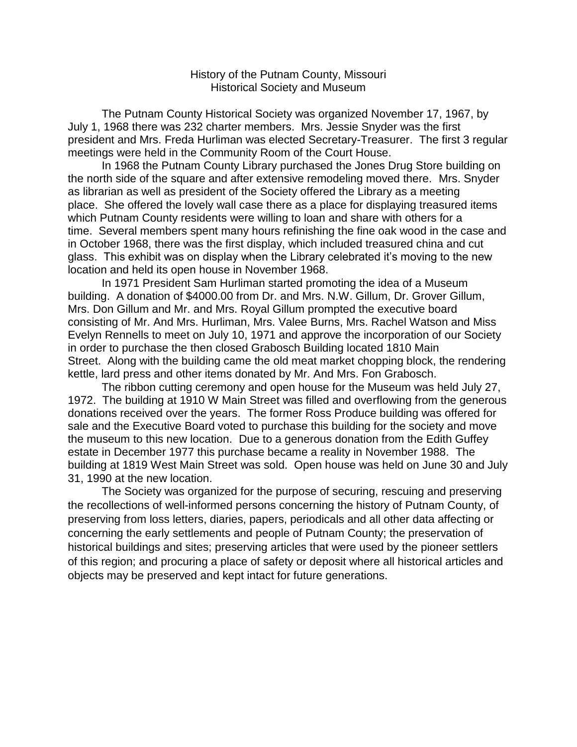## History of the Putnam County, Missouri Historical Society and Museum

The Putnam County Historical Society was organized November 17, 1967, by July 1, 1968 there was 232 charter members. Mrs. Jessie Snyder was the first president and Mrs. Freda Hurliman was elected Secretary-Treasurer. The first 3 regular meetings were held in the Community Room of the Court House.

In 1968 the Putnam County Library purchased the Jones Drug Store building on the north side of the square and after extensive remodeling moved there. Mrs. Snyder as librarian as well as president of the Society offered the Library as a meeting place. She offered the lovely wall case there as a place for displaying treasured items which Putnam County residents were willing to loan and share with others for a time. Several members spent many hours refinishing the fine oak wood in the case and in October 1968, there was the first display, which included treasured china and cut glass. This exhibit was on display when the Library celebrated it's moving to the new location and held its open house in November 1968.

In 1971 President Sam Hurliman started promoting the idea of a Museum building. A donation of \$4000.00 from Dr. and Mrs. N.W. Gillum, Dr. Grover Gillum, Mrs. Don Gillum and Mr. and Mrs. Royal Gillum prompted the executive board consisting of Mr. And Mrs. Hurliman, Mrs. Valee Burns, Mrs. Rachel Watson and Miss Evelyn Rennells to meet on July 10, 1971 and approve the incorporation of our Society in order to purchase the then closed Grabosch Building located 1810 Main Street. Along with the building came the old meat market chopping block, the rendering kettle, lard press and other items donated by Mr. And Mrs. Fon Grabosch.

The ribbon cutting ceremony and open house for the Museum was held July 27, 1972. The building at 1910 W Main Street was filled and overflowing from the generous donations received over the years. The former Ross Produce building was offered for sale and the Executive Board voted to purchase this building for the society and move the museum to this new location. Due to a generous donation from the Edith Guffey estate in December 1977 this purchase became a reality in November 1988. The building at 1819 West Main Street was sold. Open house was held on June 30 and July 31, 1990 at the new location.

The Society was organized for the purpose of securing, rescuing and preserving the recollections of well-informed persons concerning the history of Putnam County, of preserving from loss letters, diaries, papers, periodicals and all other data affecting or concerning the early settlements and people of Putnam County; the preservation of historical buildings and sites; preserving articles that were used by the pioneer settlers of this region; and procuring a place of safety or deposit where all historical articles and objects may be preserved and kept intact for future generations.